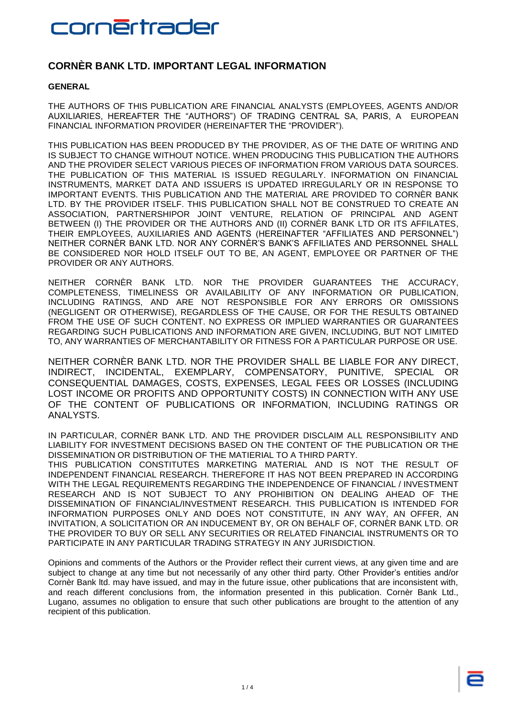### cornértrader

### **CORNÈR BANK LTD. IMPORTANT LEGAL INFORMATION**

### **GENERAL**

THE AUTHORS OF THIS PUBLICATION ARE FINANCIAL ANALYSTS (EMPLOYEES, AGENTS AND/OR AUXILIARIES, HEREAFTER THE "AUTHORS") OF TRADING CENTRAL SA, PARIS, A EUROPEAN FINANCIAL INFORMATION PROVIDER (HEREINAFTER THE "PROVIDER").

THIS PUBLICATION HAS BEEN PRODUCED BY THE PROVIDER, AS OF THE DATE OF WRITING AND IS SUBJECT TO CHANGE WITHOUT NOTICE. WHEN PRODUCING THIS PUBLICATION THE AUTHORS AND THE PROVIDER SELECT VARIOUS PIECES OF INFORMATION FROM VARIOUS DATA SOURCES. THE PUBLICATION OF THIS MATERIAL IS ISSUED REGULARLY. INFORMATION ON FINANCIAL INSTRUMENTS, MARKET DATA AND ISSUERS IS UPDATED IRREGULARLY OR IN RESPONSE TO IMPORTANT EVENTS. THIS PUBLICATION AND THE MATERIAL ARE PROVIDED TO CORNÈR BANK LTD. BY THE PROVIDER ITSELF. THIS PUBLICATION SHALL NOT BE CONSTRUED TO CREATE AN ASSOCIATION, PARTNERSHIPOR JOINT VENTURE, RELATION OF PRINCIPAL AND AGENT BETWEEN (I) THE PROVIDER OR THE AUTHORS AND (II) CORNÈR BANK LTD OR ITS AFFILATES, THEIR EMPLOYEES, AUXILIARIES AND AGENTS (HEREINAFTER "AFFILIATES AND PERSONNEL") NEITHER CORNÈR BANK LTD. NOR ANY CORNÈR'S BANK'S AFFILIATES AND PERSONNEL SHALL BE CONSIDERED NOR HOLD ITSELF OUT TO BE, AN AGENT, EMPLOYEE OR PARTNER OF THE PROVIDER OR ANY AUTHORS.

NEITHER CORNÈR BANK LTD. NOR THE PROVIDER GUARANTEES THE ACCURACY, COMPLETENESS, TIMELINESS OR AVAILABILITY OF ANY INFORMATION OR PUBLICATION, INCLUDING RATINGS, AND ARE NOT RESPONSIBLE FOR ANY ERRORS OR OMISSIONS (NEGLIGENT OR OTHERWISE), REGARDLESS OF THE CAUSE, OR FOR THE RESULTS OBTAINED FROM THE USE OF SUCH CONTENT. NO EXPRESS OR IMPLIED WARRANTIES OR GUARANTEES REGARDING SUCH PUBLICATIONS AND INFORMATION ARE GIVEN, INCLUDING, BUT NOT LIMITED TO, ANY WARRANTIES OF MERCHANTABILITY OR FITNESS FOR A PARTICULAR PURPOSE OR USE.

NEITHER CORNÈR BANK LTD. NOR THE PROVIDER SHALL BE LIABLE FOR ANY DIRECT, INDIRECT, INCIDENTAL, EXEMPLARY, COMPENSATORY, PUNITIVE, SPECIAL OR CONSEQUENTIAL DAMAGES, COSTS, EXPENSES, LEGAL FEES OR LOSSES (INCLUDING LOST INCOME OR PROFITS AND OPPORTUNITY COSTS) IN CONNECTION WITH ANY USE OF THE CONTENT OF PUBLICATIONS OR INFORMATION, INCLUDING RATINGS OR ANALYSTS.

IN PARTICULAR, CORNÈR BANK LTD. AND THE PROVIDER DISCLAIM ALL RESPONSIBILITY AND LIABILITY FOR INVESTMENT DECISIONS BASED ON THE CONTENT OF THE PUBLICATION OR THE DISSEMINATION OR DISTRIBUTION OF THE MATIERIAL TO A THIRD PARTY.

THIS PUBLICATION CONSTITUTES MARKETING MATERIAL AND IS NOT THE RESULT OF INDEPENDENT FINANCIAL RESEARCH. THEREFORE IT HAS NOT BEEN PREPARED IN ACCORDING WITH THE LEGAL REQUIREMENTS REGARDING THE INDEPENDENCE OF FINANCIAL / INVESTMENT RESEARCH AND IS NOT SUBJECT TO ANY PROHIBITION ON DEALING AHEAD OF THE DISSEMINATION OF FINANCIAL/INVESTMENT RESEARCH. THIS PUBLICATION IS INTENDED FOR INFORMATION PURPOSES ONLY AND DOES NOT CONSTITUTE, IN ANY WAY, AN OFFER, AN INVITATION, A SOLICITATION OR AN INDUCEMENT BY, OR ON BEHALF OF, CORNÈR BANK LTD. OR THE PROVIDER TO BUY OR SELL ANY SECURITIES OR RELATED FINANCIAL INSTRUMENTS OR TO PARTICIPATE IN ANY PARTICULAR TRADING STRATEGY IN ANY JURISDICTION.

Opinions and comments of the Authors or the Provider reflect their current views, at any given time and are subject to change at any time but not necessarily of any other third party. Other Provider's entities and/or Cornèr Bank ltd. may have issued, and may in the future issue, other publications that are inconsistent with, and reach different conclusions from, the information presented in this publication. Cornèr Bank Ltd., Lugano, assumes no obligation to ensure that such other publications are brought to the attention of any recipient of this publication.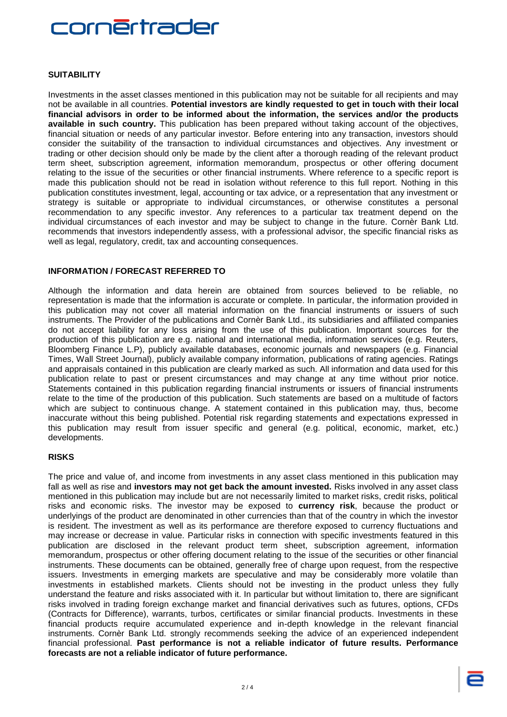## <u>ornērtrader</u>

#### **SUITABILITY**

Investments in the asset classes mentioned in this publication may not be suitable for all recipients and may not be available in all countries. **Potential investors are kindly requested to get in touch with their local financial advisors in order to be informed about the information, the services and/or the products available in such country.** This publication has been prepared without taking account of the objectives, financial situation or needs of any particular investor. Before entering into any transaction, investors should consider the suitability of the transaction to individual circumstances and objectives. Any investment or trading or other decision should only be made by the client after a thorough reading of the relevant product term sheet, subscription agreement, information memorandum, prospectus or other offering document relating to the issue of the securities or other financial instruments. Where reference to a specific report is made this publication should not be read in isolation without reference to this full report. Nothing in this publication constitutes investment, legal, accounting or tax advice, or a representation that any investment or strategy is suitable or appropriate to individual circumstances, or otherwise constitutes a personal recommendation to any specific investor. Any references to a particular tax treatment depend on the individual circumstances of each investor and may be subject to change in the future. Cornèr Bank Ltd. recommends that investors independently assess, with a professional advisor, the specific financial risks as well as legal, regulatory, credit, tax and accounting consequences.

#### **INFORMATION / FORECAST REFERRED TO**

Although the information and data herein are obtained from sources believed to be reliable, no representation is made that the information is accurate or complete. In particular, the information provided in this publication may not cover all material information on the financial instruments or issuers of such instruments. The Provider of the publications and Cornèr Bank Ltd., its subsidiaries and affiliated companies do not accept liability for any loss arising from the use of this publication. Important sources for the production of this publication are e.g. national and international media, information services (e.g. Reuters, Bloomberg Finance L.P), publicly available databases, economic journals and newspapers (e.g. Financial Times, Wall Street Journal), publicly available company information, publications of rating agencies. Ratings and appraisals contained in this publication are clearly marked as such. All information and data used for this publication relate to past or present circumstances and may change at any time without prior notice. Statements contained in this publication regarding financial instruments or issuers of financial instruments relate to the time of the production of this publication. Such statements are based on a multitude of factors which are subject to continuous change. A statement contained in this publication may, thus, become inaccurate without this being published. Potential risk regarding statements and expectations expressed in this publication may result from issuer specific and general (e.g. political, economic, market, etc.) developments.

#### **RISKS**

The price and value of, and income from investments in any asset class mentioned in this publication may fall as well as rise and **investors may not get back the amount invested.** Risks involved in any asset class mentioned in this publication may include but are not necessarily limited to market risks, credit risks, political risks and economic risks. The investor may be exposed to **currency risk**, because the product or underlyings of the product are denominated in other currencies than that of the country in which the investor is resident. The investment as well as its performance are therefore exposed to currency fluctuations and may increase or decrease in value. Particular risks in connection with specific investments featured in this publication are disclosed in the relevant product term sheet, subscription agreement, information memorandum, prospectus or other offering document relating to the issue of the securities or other financial instruments. These documents can be obtained, generally free of charge upon request, from the respective issuers. Investments in emerging markets are speculative and may be considerably more volatile than investments in established markets. Clients should not be investing in the product unless they fully understand the feature and risks associated with it. In particular but without limitation to, there are significant risks involved in trading foreign exchange market and financial derivatives such as futures, options, CFDs (Contracts for Difference), warrants, turbos, certificates or similar financial products. Investments in these financial products require accumulated experience and in-depth knowledge in the relevant financial instruments. Cornèr Bank Ltd. strongly recommends seeking the advice of an experienced independent financial professional. **Past performance is not a reliable indicator of future results. Performance forecasts are not a reliable indicator of future performance.**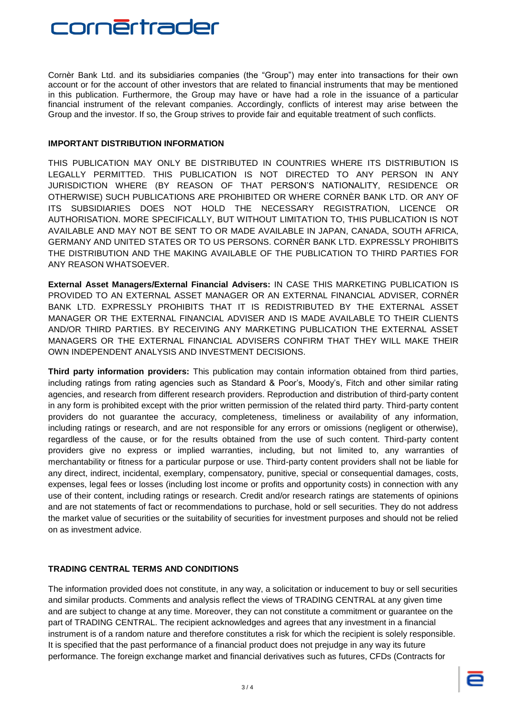

Cornèr Bank Ltd. and its subsidiaries companies (the "Group") may enter into transactions for their own account or for the account of other investors that are related to financial instruments that may be mentioned in this publication. Furthermore, the Group may have or have had a role in the issuance of a particular financial instrument of the relevant companies. Accordingly, conflicts of interest may arise between the Group and the investor. If so, the Group strives to provide fair and equitable treatment of such conflicts.

#### **IMPORTANT DISTRIBUTION INFORMATION**

THIS PUBLICATION MAY ONLY BE DISTRIBUTED IN COUNTRIES WHERE ITS DISTRIBUTION IS LEGALLY PERMITTED. THIS PUBLICATION IS NOT DIRECTED TO ANY PERSON IN ANY JURISDICTION WHERE (BY REASON OF THAT PERSON'S NATIONALITY, RESIDENCE OR OTHERWISE) SUCH PUBLICATIONS ARE PROHIBITED OR WHERE CORNÈR BANK LTD. OR ANY OF ITS SUBSIDIARIES DOES NOT HOLD THE NECESSARY REGISTRATION, LICENCE OR AUTHORISATION. MORE SPECIFICALLY, BUT WITHOUT LIMITATION TO, THIS PUBLICATION IS NOT AVAILABLE AND MAY NOT BE SENT TO OR MADE AVAILABLE IN JAPAN, CANADA, SOUTH AFRICA, GERMANY AND UNITED STATES OR TO US PERSONS. CORNÈR BANK LTD. EXPRESSLY PROHIBITS THE DISTRIBUTION AND THE MAKING AVAILABLE OF THE PUBLICATION TO THIRD PARTIES FOR ANY REASON WHATSOEVER.

**External Asset Managers/External Financial Advisers:** IN CASE THIS MARKETING PUBLICATION IS PROVIDED TO AN EXTERNAL ASSET MANAGER OR AN EXTERNAL FINANCIAL ADVISER, CORNÈR BANK LTD. EXPRESSLY PROHIBITS THAT IT IS REDISTRIBUTED BY THE EXTERNAL ASSET MANAGER OR THE EXTERNAL FINANCIAL ADVISER AND IS MADE AVAILABLE TO THEIR CLIENTS AND/OR THIRD PARTIES. BY RECEIVING ANY MARKETING PUBLICATION THE EXTERNAL ASSET MANAGERS OR THE EXTERNAL FINANCIAL ADVISERS CONFIRM THAT THEY WILL MAKE THEIR OWN INDEPENDENT ANALYSIS AND INVESTMENT DECISIONS.

**Third party information providers:** This publication may contain information obtained from third parties, including ratings from rating agencies such as Standard & Poor's, Moody's, Fitch and other similar rating agencies, and research from different research providers. Reproduction and distribution of third-party content in any form is prohibited except with the prior written permission of the related third party. Third-party content providers do not guarantee the accuracy, completeness, timeliness or availability of any information, including ratings or research, and are not responsible for any errors or omissions (negligent or otherwise), regardless of the cause, or for the results obtained from the use of such content. Third-party content providers give no express or implied warranties, including, but not limited to, any warranties of merchantability or fitness for a particular purpose or use. Third-party content providers shall not be liable for any direct, indirect, incidental, exemplary, compensatory, punitive, special or consequential damages, costs, expenses, legal fees or losses (including lost income or profits and opportunity costs) in connection with any use of their content, including ratings or research. Credit and/or research ratings are statements of opinions and are not statements of fact or recommendations to purchase, hold or sell securities. They do not address the market value of securities or the suitability of securities for investment purposes and should not be relied on as investment advice.

#### **TRADING CENTRAL TERMS AND CONDITIONS**

The information provided does not constitute, in any way, a solicitation or inducement to buy or sell securities and similar products. Comments and analysis reflect the views of TRADING CENTRAL at any given time and are subject to change at any time. Moreover, they can not constitute a commitment or guarantee on the part of TRADING CENTRAL. The recipient acknowledges and agrees that any investment in a financial instrument is of a random nature and therefore constitutes a risk for which the recipient is solely responsible. It is specified that the past performance of a financial product does not prejudge in any way its future performance. The foreign exchange market and financial derivatives such as futures, CFDs (Contracts for